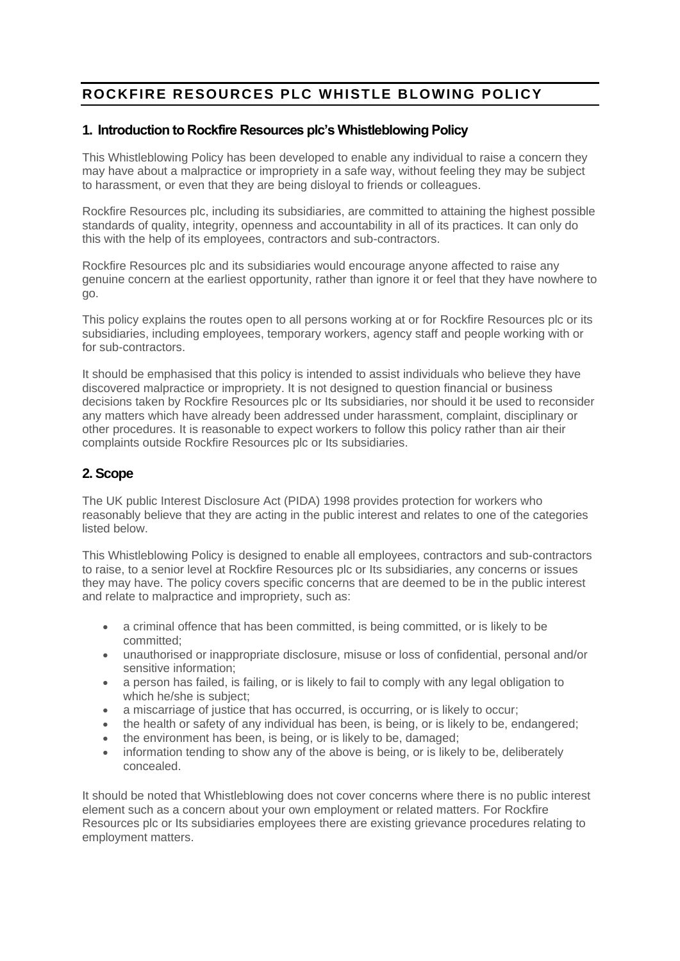# **ROCKFIRE RESOURCES PLC WHISTLE BLOWING POLICY**

## **1. Introduction to Rockfire Resources plc's Whistleblowing Policy**

This Whistleblowing Policy has been developed to enable any individual to raise a concern they may have about a malpractice or impropriety in a safe way, without feeling they may be subject to harassment, or even that they are being disloyal to friends or colleagues.

Rockfire Resources plc, including its subsidiaries, are committed to attaining the highest possible standards of quality, integrity, openness and accountability in all of its practices. It can only do this with the help of its employees, contractors and sub-contractors.

Rockfire Resources plc and its subsidiaries would encourage anyone affected to raise any genuine concern at the earliest opportunity, rather than ignore it or feel that they have nowhere to go.

This policy explains the routes open to all persons working at or for Rockfire Resources plc or its subsidiaries, including employees, temporary workers, agency staff and people working with or for sub-contractors.

It should be emphasised that this policy is intended to assist individuals who believe they have discovered malpractice or impropriety. It is not designed to question financial or business decisions taken by Rockfire Resources plc or Its subsidiaries, nor should it be used to reconsider any matters which have already been addressed under harassment, complaint, disciplinary or other procedures. It is reasonable to expect workers to follow this policy rather than air their complaints outside Rockfire Resources plc or Its subsidiaries.

## **2. Scope**

The UK public Interest Disclosure Act (PIDA) 1998 provides protection for workers who reasonably believe that they are acting in the public interest and relates to one of the categories listed below.

This Whistleblowing Policy is designed to enable all employees, contractors and sub-contractors to raise, to a senior level at Rockfire Resources plc or Its subsidiaries, any concerns or issues they may have. The policy covers specific concerns that are deemed to be in the public interest and relate to malpractice and impropriety, such as:

- a criminal offence that has been committed, is being committed, or is likely to be committed;
- unauthorised or inappropriate disclosure, misuse or loss of confidential, personal and/or sensitive information;
- a person has failed, is failing, or is likely to fail to comply with any legal obligation to which he/she is subject;
- a miscarriage of justice that has occurred, is occurring, or is likely to occur;
- the health or safety of any individual has been, is being, or is likely to be, endangered;
- the environment has been, is being, or is likely to be, damaged;
- information tending to show any of the above is being, or is likely to be, deliberately concealed.

It should be noted that Whistleblowing does not cover concerns where there is no public interest element such as a concern about your own employment or related matters. For Rockfire Resources plc or Its subsidiaries employees there are existing grievance procedures relating to employment matters.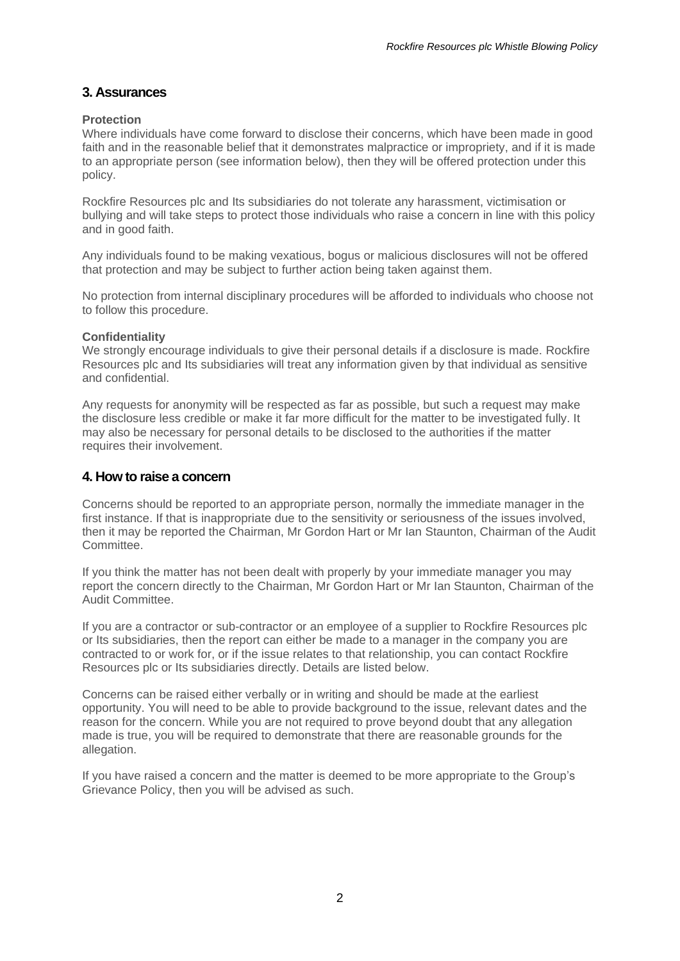### **3. Assurances**

#### **Protection**

Where individuals have come forward to disclose their concerns, which have been made in good faith and in the reasonable belief that it demonstrates malpractice or impropriety, and if it is made to an appropriate person (see information below), then they will be offered protection under this policy.

Rockfire Resources plc and Its subsidiaries do not tolerate any harassment, victimisation or bullying and will take steps to protect those individuals who raise a concern in line with this policy and in good faith.

Any individuals found to be making vexatious, bogus or malicious disclosures will not be offered that protection and may be subject to further action being taken against them.

No protection from internal disciplinary procedures will be afforded to individuals who choose not to follow this procedure.

#### **Confidentiality**

We strongly encourage individuals to give their personal details if a disclosure is made. Rockfire Resources plc and Its subsidiaries will treat any information given by that individual as sensitive and confidential.

Any requests for anonymity will be respected as far as possible, but such a request may make the disclosure less credible or make it far more difficult for the matter to be investigated fully. It may also be necessary for personal details to be disclosed to the authorities if the matter requires their involvement.

#### **4. How to raise a concern**

Concerns should be reported to an appropriate person, normally the immediate manager in the first instance. If that is inappropriate due to the sensitivity or seriousness of the issues involved, then it may be reported the Chairman, Mr Gordon Hart or Mr Ian Staunton, Chairman of the Audit Committee.

If you think the matter has not been dealt with properly by your immediate manager you may report the concern directly to the Chairman, Mr Gordon Hart or Mr Ian Staunton, Chairman of the Audit Committee.

If you are a contractor or sub-contractor or an employee of a supplier to Rockfire Resources plc or Its subsidiaries, then the report can either be made to a manager in the company you are contracted to or work for, or if the issue relates to that relationship, you can contact Rockfire Resources plc or Its subsidiaries directly. Details are listed below.

Concerns can be raised either verbally or in writing and should be made at the earliest opportunity. You will need to be able to provide background to the issue, relevant dates and the reason for the concern. While you are not required to prove beyond doubt that any allegation made is true, you will be required to demonstrate that there are reasonable grounds for the allegation.

If you have raised a concern and the matter is deemed to be more appropriate to the Group's Grievance Policy, then you will be advised as such.